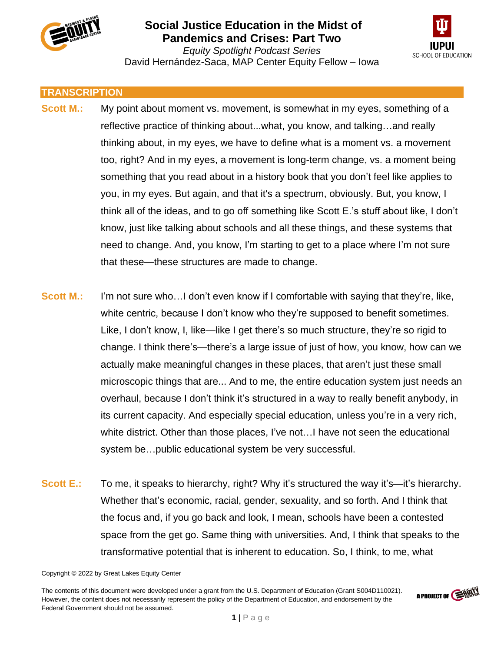



*Equity Spotlight Podcast Series* David Hernández-Saca, MAP Center Equity Fellow – Iowa

#### **TRANSCRIPTION**

- **Scott M.:** My point about moment vs. movement, is somewhat in my eyes, something of a reflective practice of thinking about...what, you know, and talking…and really thinking about, in my eyes, we have to define what is a moment vs. a movement too, right? And in my eyes, a movement is long-term change, vs. a moment being something that you read about in a history book that you don't feel like applies to you, in my eyes. But again, and that it's a spectrum, obviously. But, you know, I think all of the ideas, and to go off something like Scott E.'s stuff about like, I don't know, just like talking about schools and all these things, and these systems that need to change. And, you know, I'm starting to get to a place where I'm not sure that these—these structures are made to change.
- **Scott M.:** I'm not sure who…I don't even know if I comfortable with saying that they're, like, white centric, because I don't know who they're supposed to benefit sometimes. Like, I don't know, I, like—like I get there's so much structure, they're so rigid to change. I think there's—there's a large issue of just of how, you know, how can we actually make meaningful changes in these places, that aren't just these small microscopic things that are... And to me, the entire education system just needs an overhaul, because I don't think it's structured in a way to really benefit anybody, in its current capacity. And especially special education, unless you're in a very rich, white district. Other than those places, I've not…I have not seen the educational system be…public educational system be very successful.
- **Scott E.:** To me, it speaks to hierarchy, right? Why it's structured the way it's—it's hierarchy. Whether that's economic, racial, gender, sexuality, and so forth. And I think that the focus and, if you go back and look, I mean, schools have been a contested space from the get go. Same thing with universities. And, I think that speaks to the transformative potential that is inherent to education. So, I think, to me, what

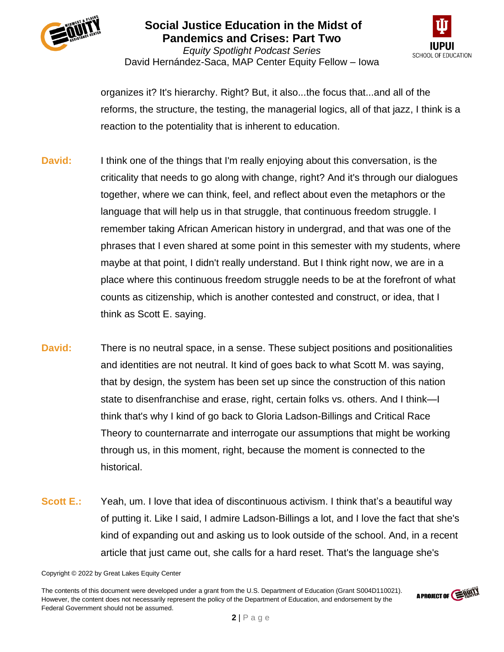



*Equity Spotlight Podcast Series* David Hernández-Saca, MAP Center Equity Fellow – Iowa

organizes it? It's hierarchy. Right? But, it also...the focus that...and all of the reforms, the structure, the testing, the managerial logics, all of that jazz, I think is a reaction to the potentiality that is inherent to education.

- **David:** I think one of the things that I'm really enjoying about this conversation, is the criticality that needs to go along with change, right? And it's through our dialogues together, where we can think, feel, and reflect about even the metaphors or the language that will help us in that struggle, that continuous freedom struggle. I remember taking African American history in undergrad, and that was one of the phrases that I even shared at some point in this semester with my students, where maybe at that point, I didn't really understand. But I think right now, we are in a place where this continuous freedom struggle needs to be at the forefront of what counts as citizenship, which is another contested and construct, or idea, that I think as Scott E. saying.
- **David:** There is no neutral space, in a sense. These subject positions and positionalities and identities are not neutral. It kind of goes back to what Scott M. was saying, that by design, the system has been set up since the construction of this nation state to disenfranchise and erase, right, certain folks vs. others. And I think—I think that's why I kind of go back to Gloria Ladson-Billings and Critical Race Theory to counternarrate and interrogate our assumptions that might be working through us, in this moment, right, because the moment is connected to the historical.
- **Scott E.:** Yeah, um. I love that idea of discontinuous activism. I think that's a beautiful way of putting it. Like I said, I admire Ladson-Billings a lot, and I love the fact that she's kind of expanding out and asking us to look outside of the school. And, in a recent article that just came out, she calls for a hard reset. That's the language she's

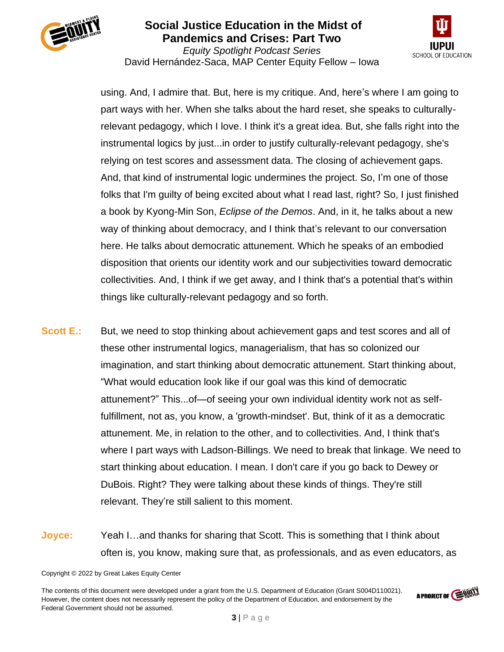



*Equity Spotlight Podcast Series* David Hernández-Saca, MAP Center Equity Fellow – Iowa

using. And, I admire that. But, here is my critique. And, here's where I am going to part ways with her. When she talks about the hard reset, she speaks to culturallyrelevant pedagogy, which I love. I think it's a great idea. But, she falls right into the instrumental logics by just...in order to justify culturally-relevant pedagogy, she's relying on test scores and assessment data. The closing of achievement gaps. And, that kind of instrumental logic undermines the project. So, I'm one of those folks that I'm guilty of being excited about what I read last, right? So, I just finished a book by Kyong-Min Son, *Eclipse of the Demos*. And, in it, he talks about a new way of thinking about democracy, and I think that's relevant to our conversation here. He talks about democratic attunement. Which he speaks of an embodied disposition that orients our identity work and our subjectivities toward democratic collectivities. And, I think if we get away, and I think that's a potential that's within things like culturally-relevant pedagogy and so forth.

- **Scott E.:** But, we need to stop thinking about achievement gaps and test scores and all of these other instrumental logics, managerialism, that has so colonized our imagination, and start thinking about democratic attunement. Start thinking about, "What would education look like if our goal was this kind of democratic attunement?" This...of—of seeing your own individual identity work not as selffulfillment, not as, you know, a 'growth-mindset'. But, think of it as a democratic attunement. Me, in relation to the other, and to collectivities. And, I think that's where I part ways with Ladson-Billings. We need to break that linkage. We need to start thinking about education. I mean. I don't care if you go back to Dewey or DuBois. Right? They were talking about these kinds of things. They're still relevant. They're still salient to this moment.
- **Joyce:** Yeah I…and thanks for sharing that Scott. This is something that I think about often is, you know, making sure that, as professionals, and as even educators, as

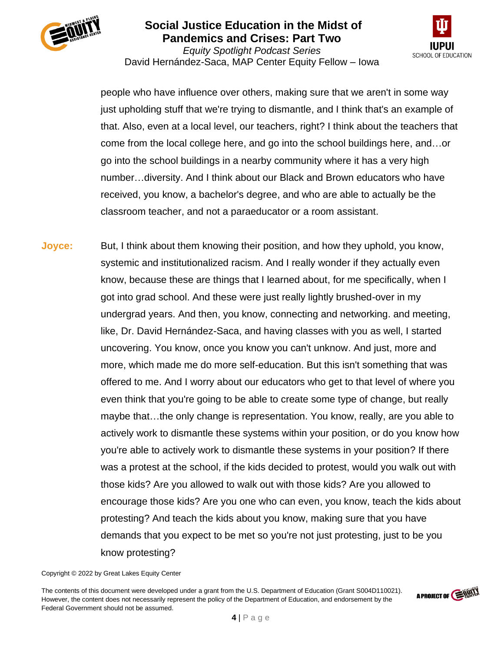



*Equity Spotlight Podcast Series* David Hernández-Saca, MAP Center Equity Fellow – Iowa

people who have influence over others, making sure that we aren't in some way just upholding stuff that we're trying to dismantle, and I think that's an example of that. Also, even at a local level, our teachers, right? I think about the teachers that come from the local college here, and go into the school buildings here, and…or go into the school buildings in a nearby community where it has a very high number…diversity. And I think about our Black and Brown educators who have received, you know, a bachelor's degree, and who are able to actually be the classroom teacher, and not a paraeducator or a room assistant.

**Joyce:** But, I think about them knowing their position, and how they uphold, you know, systemic and institutionalized racism. And I really wonder if they actually even know, because these are things that I learned about, for me specifically, when I got into grad school. And these were just really lightly brushed-over in my undergrad years. And then, you know, connecting and networking. and meeting, like, Dr. David Hernández-Saca, and having classes with you as well, I started uncovering. You know, once you know you can't unknow. And just, more and more, which made me do more self-education. But this isn't something that was offered to me. And I worry about our educators who get to that level of where you even think that you're going to be able to create some type of change, but really maybe that…the only change is representation. You know, really, are you able to actively work to dismantle these systems within your position, or do you know how you're able to actively work to dismantle these systems in your position? If there was a protest at the school, if the kids decided to protest, would you walk out with those kids? Are you allowed to walk out with those kids? Are you allowed to encourage those kids? Are you one who can even, you know, teach the kids about protesting? And teach the kids about you know, making sure that you have demands that you expect to be met so you're not just protesting, just to be you know protesting?

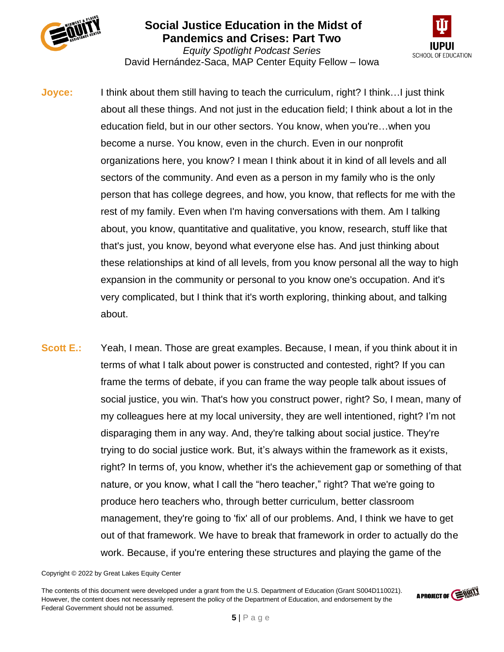



*Equity Spotlight Podcast Series* David Hernández-Saca, MAP Center Equity Fellow – Iowa

- **Joyce:** I think about them still having to teach the curriculum, right? I think…I just think about all these things. And not just in the education field; I think about a lot in the education field, but in our other sectors. You know, when you're…when you become a nurse. You know, even in the church. Even in our nonprofit organizations here, you know? I mean I think about it in kind of all levels and all sectors of the community. And even as a person in my family who is the only person that has college degrees, and how, you know, that reflects for me with the rest of my family. Even when I'm having conversations with them. Am I talking about, you know, quantitative and qualitative, you know, research, stuff like that that's just, you know, beyond what everyone else has. And just thinking about these relationships at kind of all levels, from you know personal all the way to high expansion in the community or personal to you know one's occupation. And it's very complicated, but I think that it's worth exploring, thinking about, and talking about.
- **Scott E.:** Yeah, I mean. Those are great examples. Because, I mean, if you think about it in terms of what I talk about power is constructed and contested, right? If you can frame the terms of debate, if you can frame the way people talk about issues of social justice, you win. That's how you construct power, right? So, I mean, many of my colleagues here at my local university, they are well intentioned, right? I'm not disparaging them in any way. And, they're talking about social justice. They're trying to do social justice work. But, it's always within the framework as it exists, right? In terms of, you know, whether it's the achievement gap or something of that nature, or you know, what I call the "hero teacher," right? That we're going to produce hero teachers who, through better curriculum, better classroom management, they're going to 'fix' all of our problems. And, I think we have to get out of that framework. We have to break that framework in order to actually do the work. Because, if you're entering these structures and playing the game of the

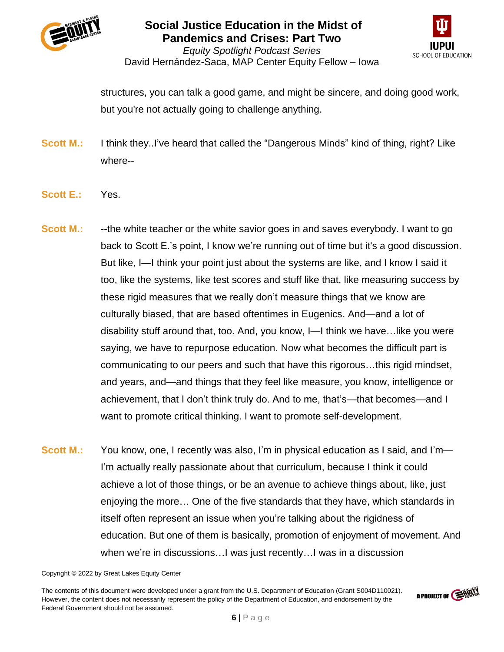



*Equity Spotlight Podcast Series* David Hernández-Saca, MAP Center Equity Fellow – Iowa

structures, you can talk a good game, and might be sincere, and doing good work, but you're not actually going to challenge anything.

- **Scott M.:** I think they..I've heard that called the "Dangerous Minds" kind of thing, right? Like where--
- **Scott E.:** Yes.
- **Scott M.:** --the white teacher or the white savior goes in and saves everybody. I want to go back to Scott E.'s point, I know we're running out of time but it's a good discussion. But like, I—I think your point just about the systems are like, and I know I said it too, like the systems, like test scores and stuff like that, like measuring success by these rigid measures that we really don't measure things that we know are culturally biased, that are based oftentimes in Eugenics. And—and a lot of disability stuff around that, too. And, you know, I—I think we have…like you were saying, we have to repurpose education. Now what becomes the difficult part is communicating to our peers and such that have this rigorous…this rigid mindset, and years, and—and things that they feel like measure, you know, intelligence or achievement, that I don't think truly do. And to me, that's—that becomes—and I want to promote critical thinking. I want to promote self-development.
- **Scott M.:** You know, one, I recently was also, I'm in physical education as I said, and I'm— I'm actually really passionate about that curriculum, because I think it could achieve a lot of those things, or be an avenue to achieve things about, like, just enjoying the more… One of the five standards that they have, which standards in itself often represent an issue when you're talking about the rigidness of education. But one of them is basically, promotion of enjoyment of movement. And when we're in discussions…I was just recently…I was in a discussion

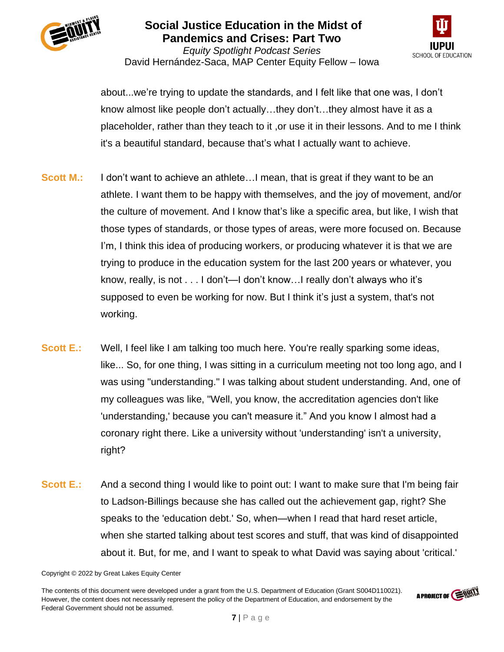



*Equity Spotlight Podcast Series* David Hernández-Saca, MAP Center Equity Fellow – Iowa

about...we're trying to update the standards, and I felt like that one was, I don't know almost like people don't actually…they don't…they almost have it as a placeholder, rather than they teach to it ,or use it in their lessons. And to me I think it's a beautiful standard, because that's what I actually want to achieve.

- **Scott M.:** I don't want to achieve an athlete...I mean, that is great if they want to be an athlete. I want them to be happy with themselves, and the joy of movement, and/or the culture of movement. And I know that's like a specific area, but like, I wish that those types of standards, or those types of areas, were more focused on. Because I'm, I think this idea of producing workers, or producing whatever it is that we are trying to produce in the education system for the last 200 years or whatever, you know, really, is not . . . I don't—I don't know…I really don't always who it's supposed to even be working for now. But I think it's just a system, that's not working.
- **Scott E.:** Well, I feel like I am talking too much here. You're really sparking some ideas, like... So, for one thing, I was sitting in a curriculum meeting not too long ago, and I was using "understanding." I was talking about student understanding. And, one of my colleagues was like, "Well, you know, the accreditation agencies don't like 'understanding,' because you can't measure it." And you know I almost had a coronary right there. Like a university without 'understanding' isn't a university, right?
- **Scott E.:** And a second thing I would like to point out: I want to make sure that I'm being fair to Ladson-Billings because she has called out the achievement gap, right? She speaks to the 'education debt.' So, when—when I read that hard reset article, when she started talking about test scores and stuff, that was kind of disappointed about it. But, for me, and I want to speak to what David was saying about 'critical.'

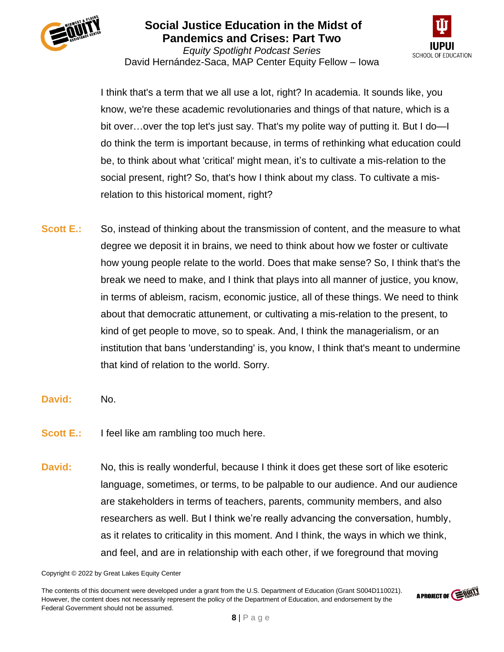



*Equity Spotlight Podcast Series* David Hernández-Saca, MAP Center Equity Fellow – Iowa

I think that's a term that we all use a lot, right? In academia. It sounds like, you know, we're these academic revolutionaries and things of that nature, which is a bit over…over the top let's just say. That's my polite way of putting it. But I do—I do think the term is important because, in terms of rethinking what education could be, to think about what 'critical' might mean, it's to cultivate a mis-relation to the social present, right? So, that's how I think about my class. To cultivate a misrelation to this historical moment, right?

- **Scott E.:** So, instead of thinking about the transmission of content, and the measure to what degree we deposit it in brains, we need to think about how we foster or cultivate how young people relate to the world. Does that make sense? So, I think that's the break we need to make, and I think that plays into all manner of justice, you know, in terms of ableism, racism, economic justice, all of these things. We need to think about that democratic attunement, or cultivating a mis-relation to the present, to kind of get people to move, so to speak. And, I think the managerialism, or an institution that bans 'understanding' is, you know, I think that's meant to undermine that kind of relation to the world. Sorry.
- **David:** No.
- **Scott E.:** I feel like am rambling too much here.
- **David:** No, this is really wonderful, because I think it does get these sort of like esoteric language, sometimes, or terms, to be palpable to our audience. And our audience are stakeholders in terms of teachers, parents, community members, and also researchers as well. But I think we're really advancing the conversation, humbly, as it relates to criticality in this moment. And I think, the ways in which we think, and feel, and are in relationship with each other, if we foreground that moving

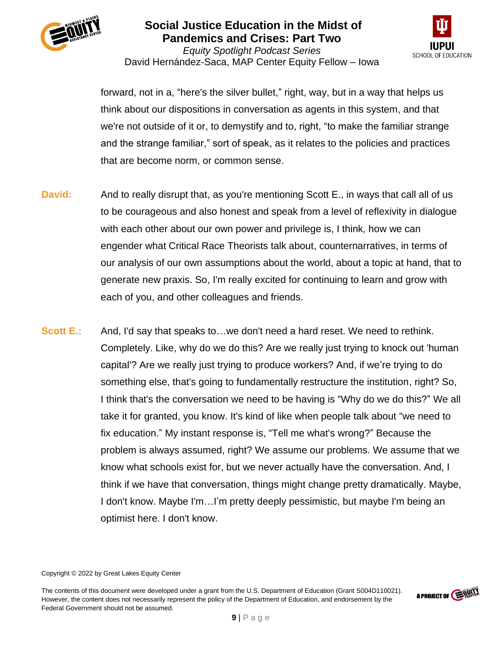



*Equity Spotlight Podcast Series* David Hernández-Saca, MAP Center Equity Fellow – Iowa

forward, not in a, "here's the silver bullet," right, way, but in a way that helps us think about our dispositions in conversation as agents in this system, and that we're not outside of it or, to demystify and to, right, "to make the familiar strange and the strange familiar," sort of speak, as it relates to the policies and practices that are become norm, or common sense.

- **David:** And to really disrupt that, as you're mentioning Scott E., in ways that call all of us to be courageous and also honest and speak from a level of reflexivity in dialogue with each other about our own power and privilege is, I think, how we can engender what Critical Race Theorists talk about, counternarratives, in terms of our analysis of our own assumptions about the world, about a topic at hand, that to generate new praxis. So, I'm really excited for continuing to learn and grow with each of you, and other colleagues and friends.
- **Scott E.:** And, I'd say that speaks to...we don't need a hard reset. We need to rethink. Completely. Like, why do we do this? Are we really just trying to knock out 'human capital'? Are we really just trying to produce workers? And, if we're trying to do something else, that's going to fundamentally restructure the institution, right? So, I think that's the conversation we need to be having is "Why do we do this?" We all take it for granted, you know. It's kind of like when people talk about "we need to fix education." My instant response is, "Tell me what's wrong?" Because the problem is always assumed, right? We assume our problems. We assume that we know what schools exist for, but we never actually have the conversation. And, I think if we have that conversation, things might change pretty dramatically. Maybe, I don't know. Maybe I'm…I'm pretty deeply pessimistic, but maybe I'm being an optimist here. I don't know.

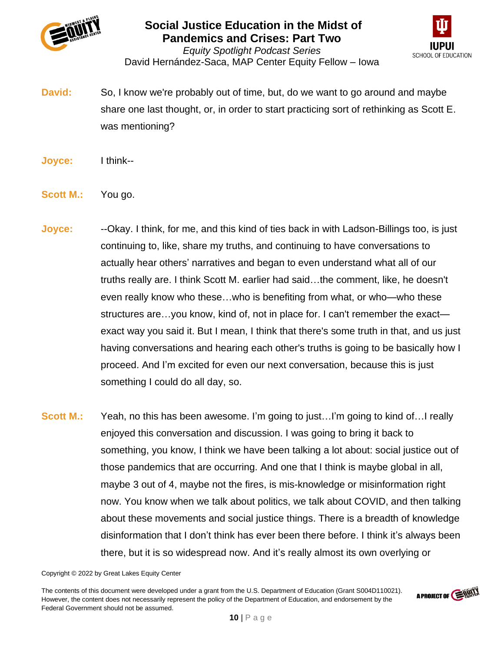



*Equity Spotlight Podcast Series* David Hernández-Saca, MAP Center Equity Fellow – Iowa

**David:** So, I know we're probably out of time, but, do we want to go around and maybe share one last thought, or, in order to start practicing sort of rethinking as Scott E. was mentioning?

- **Joyce:** I think--
- **Scott M.:** You go.
- **Joyce:** --Okay. I think, for me, and this kind of ties back in with Ladson-Billings too, is just continuing to, like, share my truths, and continuing to have conversations to actually hear others' narratives and began to even understand what all of our truths really are. I think Scott M. earlier had said…the comment, like, he doesn't even really know who these…who is benefiting from what, or who—who these structures are…you know, kind of, not in place for. I can't remember the exact exact way you said it. But I mean, I think that there's some truth in that, and us just having conversations and hearing each other's truths is going to be basically how I proceed. And I'm excited for even our next conversation, because this is just something I could do all day, so.
- **Scott M.:** Yeah, no this has been awesome. I'm going to just...I'm going to kind of...I really enjoyed this conversation and discussion. I was going to bring it back to something, you know, I think we have been talking a lot about: social justice out of those pandemics that are occurring. And one that I think is maybe global in all, maybe 3 out of 4, maybe not the fires, is mis-knowledge or misinformation right now. You know when we talk about politics, we talk about COVID, and then talking about these movements and social justice things. There is a breadth of knowledge disinformation that I don't think has ever been there before. I think it's always been there, but it is so widespread now. And it's really almost its own overlying or

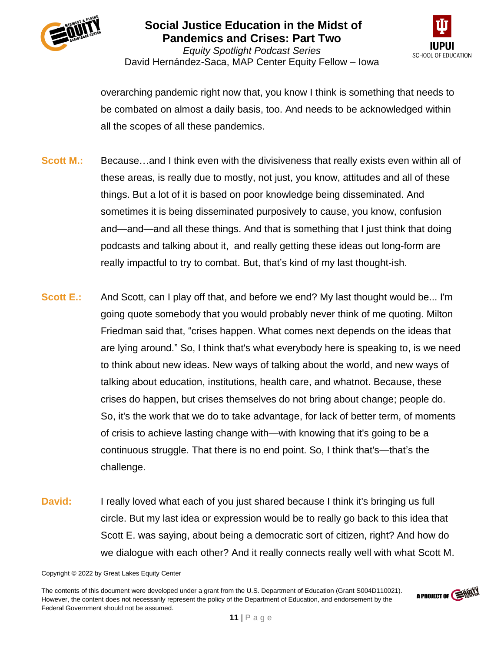



*Equity Spotlight Podcast Series* David Hernández-Saca, MAP Center Equity Fellow – Iowa

overarching pandemic right now that, you know I think is something that needs to be combated on almost a daily basis, too. And needs to be acknowledged within all the scopes of all these pandemics.

- **Scott M.:** Because...and I think even with the divisiveness that really exists even within all of these areas, is really due to mostly, not just, you know, attitudes and all of these things. But a lot of it is based on poor knowledge being disseminated. And sometimes it is being disseminated purposively to cause, you know, confusion and—and—and all these things. And that is something that I just think that doing podcasts and talking about it, and really getting these ideas out long-form are really impactful to try to combat. But, that's kind of my last thought-ish.
- **Scott E.:** And Scott, can I play off that, and before we end? My last thought would be... I'm going quote somebody that you would probably never think of me quoting. Milton Friedman said that, "crises happen. What comes next depends on the ideas that are lying around." So, I think that's what everybody here is speaking to, is we need to think about new ideas. New ways of talking about the world, and new ways of talking about education, institutions, health care, and whatnot. Because, these crises do happen, but crises themselves do not bring about change; people do. So, it's the work that we do to take advantage, for lack of better term, of moments of crisis to achieve lasting change with—with knowing that it's going to be a continuous struggle. That there is no end point. So, I think that's—that's the challenge.
- **David:** I really loved what each of you just shared because I think it's bringing us full circle. But my last idea or expression would be to really go back to this idea that Scott E. was saying, about being a democratic sort of citizen, right? And how do we dialogue with each other? And it really connects really well with what Scott M.

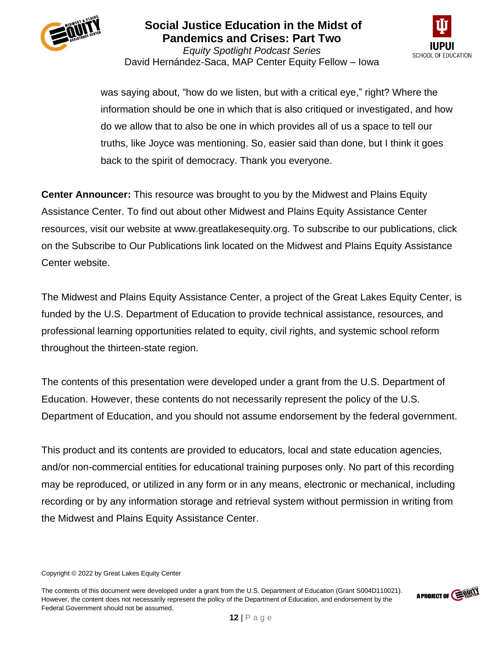



*Equity Spotlight Podcast Series* David Hernández-Saca, MAP Center Equity Fellow – Iowa

was saying about, "how do we listen, but with a critical eye," right? Where the information should be one in which that is also critiqued or investigated, and how do we allow that to also be one in which provides all of us a space to tell our truths, like Joyce was mentioning. So, easier said than done, but I think it goes back to the spirit of democracy. Thank you everyone.

**Center Announcer:** This resource was brought to you by the Midwest and Plains Equity Assistance Center. To find out about other Midwest and Plains Equity Assistance Center resources, visit our website at www.greatlakesequity.org. To subscribe to our publications, click on the Subscribe to Our Publications link located on the Midwest and Plains Equity Assistance Center website.

The Midwest and Plains Equity Assistance Center, a project of the Great Lakes Equity Center, is funded by the U.S. Department of Education to provide technical assistance, resources, and professional learning opportunities related to equity, civil rights, and systemic school reform throughout the thirteen-state region.

The contents of this presentation were developed under a grant from the U.S. Department of Education. However, these contents do not necessarily represent the policy of the U.S. Department of Education, and you should not assume endorsement by the federal government.

This product and its contents are provided to educators, local and state education agencies, and/or non-commercial entities for educational training purposes only. No part of this recording may be reproduced, or utilized in any form or in any means, electronic or mechanical, including recording or by any information storage and retrieval system without permission in writing from the Midwest and Plains Equity Assistance Center.



Copyright © 2022 by Great Lakes Equity Center